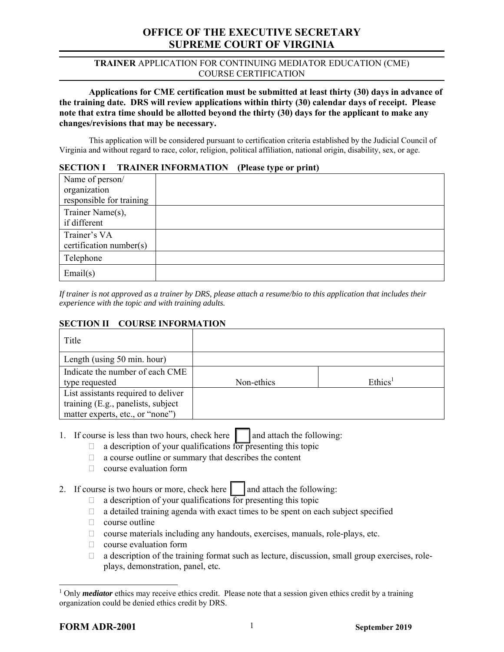# **OFFICE OF THE EXECUTIVE SECRETARY SUPREME COURT OF VIRGINIA**

### **TRAINER** APPLICATION FOR CONTINUING MEDIATOR EDUCATION (CME) COURSE CERTIFICATION

**Applications for CME certification must be submitted at least thirty (30) days in advance of the training date. DRS will review applications within thirty (30) calendar days of receipt. Please note that extra time should be allotted beyond the thirty (30) days for the applicant to make any changes/revisions that may be necessary.** 

This application will be considered pursuant to certification criteria established by the Judicial Council of Virginia and without regard to race, color, religion, political affiliation, national origin, disability, sex, or age.

### **SECTION I TRAINER INFORMATION (Please type or print)**

| Name of person/<br>organization<br>responsible for training | ar r |
|-------------------------------------------------------------|------|
| Trainer Name(s),<br>if different                            |      |
| Trainer's VA<br>$c$ ertification number(s)                  |      |
| Telephone                                                   |      |
| Email(s)                                                    |      |

*If trainer is not approved as a trainer by DRS, please attach a resume/bio to this application that includes their experience with the topic and with training adults.* 

## **SECTION II COURSE INFORMATION**

| Title                               |            |                     |
|-------------------------------------|------------|---------------------|
| Length (using 50 min. hour)         |            |                     |
| Indicate the number of each CME     |            |                     |
| type requested                      | Non-ethics | Ethics <sup>1</sup> |
| List assistants required to deliver |            |                     |
| training (E.g., panelists, subject  |            |                     |
| matter experts, etc., or "none")    |            |                     |

1. If course is less than two hours, check here  $\|\cdot\|$  and attach the following:

- $\Box$  a description of your qualifications for presenting this topic
- a course outline or summary that describes the content
- $\Box$  course evaluation form
- 2. If course is two hours or more, check here  $\|\cdot\|$  and attach the following:
	- $\Box$  a description of your qualifications for presenting this topic
	- $\Box$  a detailed training agenda with exact times to be spent on each subject specified
	- $\Box$  course outline
	- $\Box$  course materials including any handouts, exercises, manuals, role-plays, etc.
	- $\Box$  course evaluation form
	- $\Box$  a description of the training format such as lecture, discussion, small group exercises, roleplays, demonstration, panel, etc*.*

 $\overline{\phantom{a}}$ 

<sup>&</sup>lt;sup>1</sup> Only *mediator* ethics may receive ethics credit. Please note that a session given ethics credit by a training organization could be denied ethics credit by DRS.